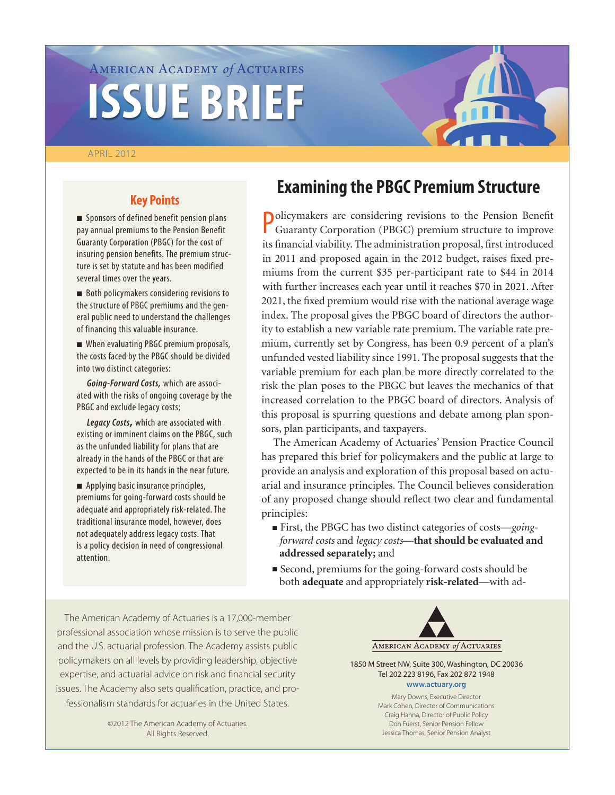# American Academy *of* Actuaries **ISSUE BRIEF**

#### APRIL 2012

# **Key Points**

**n** Sponsors of defined benefit pension plans pay annual premiums to the Pension Benefit Guaranty Corporation (PBGC) for the cost of insuring pension benefits. The premium structure is set by statute and has been modified several times over the years.

■ Both policymakers considering revisions to the structure of PBGC premiums and the general public need to understand the challenges of financing this valuable insurance.

■ When evaluating PBGC premium proposals, the costs faced by the PBGC should be divided into two distinct categories:

*Going-Forward Costs,* which are associated with the risks of ongoing coverage by the PBGC and exclude legacy costs;

*Legacy Costs***,** which are associated with existing or imminent claims on the PBGC, such as the unfunded liability for plans that are already in the hands of the PBGC or that are expected to be in its hands in the near future.

**n** Applying basic insurance principles, premiums for going-forward costs should be adequate and appropriately risk-related. The traditional insurance model, however, does not adequately address legacy costs. That is a policy decision in need of congressional attention.

# **Examining the PBGC Premium Structure**

Policymakers are considering revisions to the Pension Benefit<br>Guaranty Corporation (PBGC) premium structure to improve Guaranty Corporation (PBGC) premium structure to improve its financial viability. The administration proposal, first introduced in 2011 and proposed again in the 2012 budget, raises fixed premiums from the current \$35 per-participant rate to \$44 in 2014 with further increases each year until it reaches \$70 in 2021. After 2021, the fixed premium would rise with the national average wage index. The proposal gives the PBGC board of directors the authority to establish a new variable rate premium. The variable rate premium, currently set by Congress, has been 0.9 percent of a plan's unfunded vested liability since 1991. The proposal suggests that the variable premium for each plan be more directly correlated to the risk the plan poses to the PBGC but leaves the mechanics of that increased correlation to the PBGC board of directors. Analysis of this proposal is spurring questions and debate among plan sponsors, plan participants, and taxpayers.

The American Academy of Actuaries' Pension Practice Council has prepared this brief for policymakers and the public at large to provide an analysis and exploration of this proposal based on actuarial and insurance principles. The Council believes consideration of any proposed change should reflect two clear and fundamental principles:

- First, the PBGC has two distinct categories of costs—*goingforward costs* and *legacy costs*—**that should be evaluated and addressed separately;** and
- Second, premiums for the going-forward costs should be both **adequate** and appropriately **risk-related**—with ad-

The American Academy of Actuaries is a 17,000-member professional association whose mission is to serve the public and the U.S. actuarial profession. The Academy assists public policymakers on all levels by providing leadership, objective expertise, and actuarial advice on risk and financial security issues. The Academy also sets qualification, practice, and professionalism standards for actuaries in the United States.

> ©2012 The American Academy of Actuaries. All Rights Reserved.



1850 M Street NW, Suite 300, Washington, DC 20036 Tel 202 223 8196, Fax 202 872 1948 **<www.actuary.org>**

> Mary Downs, Executive Director Mark Cohen, Director of Communications Craig Hanna, Director of Public Policy Don Fuerst, Senior Pension Fellow Jessica Thomas, Senior Pension Analyst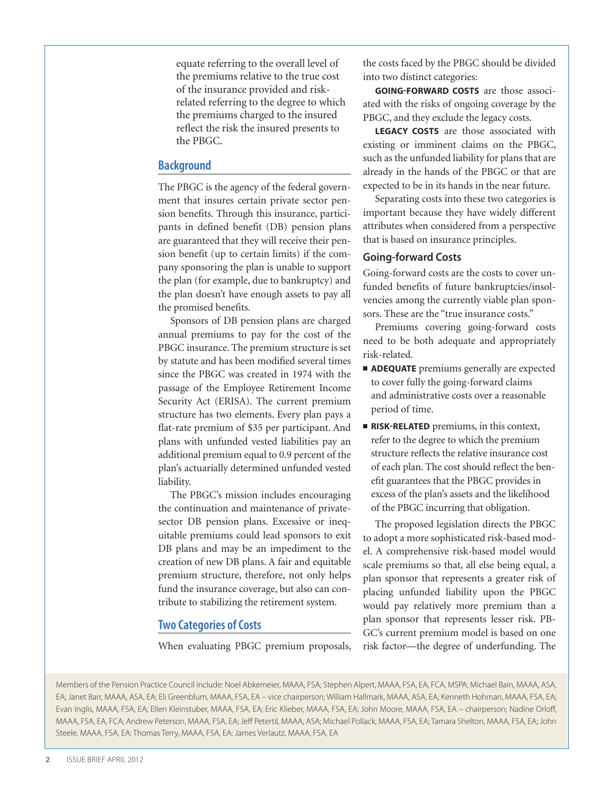equate referring to the overall level of the premiums relative to the true cost of the insurance provided and riskrelated referring to the degree to which the premiums charged to the insured reflect the risk the insured presents to the PBGC.

# **Background**

The PBGC is the agency of the federal government that insures certain private sector pension benefits. Through this insurance, participants in defined benefit (DB) pension plans are guaranteed that they will receive their pension benefit (up to certain limits) if the company sponsoring the plan is unable to support the plan (for example, due to bankruptcy) and the plan doesn't have enough assets to pay all the promised benefits.

Sponsors of DB pension plans are charged annual premiums to pay for the cost of the PBGC insurance. The premium structure is set by statute and has been modified several times since the PBGC was created in 1974 with the passage of the Employee Retirement Income Security Act (ERISA). The current premium structure has two elements. Every plan pays a flat-rate premium of \$35 per participant. And plans with unfunded vested liabilities pay an additional premium equal to 0.9 percent of the plan's actuarially determined unfunded vested liability.

The PBGC's mission includes encouraging the continuation and maintenance of privatesector DB pension plans. Excessive or inequitable premiums could lead sponsors to exit DB plans and may be an impediment to the creation of new DB plans. A fair and equitable premium structure, therefore, not only helps fund the insurance coverage, but also can contribute to stabilizing the retirement system.

# **Two Categories of Costs**

When evaluating PBGC premium proposals,

the costs faced by the PBGC should be divided into two distinct categories:

**GOING-FORWARD COSTS** are those associated with the risks of ongoing coverage by the PBGC, and they exclude the legacy costs.

**LEGACY COSTS** are those associated with existing or imminent claims on the PBGC, such as the unfunded liability for plans that are already in the hands of the PBGC or that are expected to be in its hands in the near future.

Separating costs into these two categories is important because they have widely different attributes when considered from a perspective that is based on insurance principles.

## **Going-forward Costs**

Going-forward costs are the costs to cover unfunded benefits of future bankruptcies/insolvencies among the currently viable plan sponsors. These are the "true insurance costs."

Premiums covering going-forward costs need to be both adequate and appropriately risk-related.

- **E** ADEQUATE premiums generally are expected to cover fully the going-forward claims and administrative costs over a reasonable period of time.
- **RISK-RELATED** premiums, in this context, refer to the degree to which the premium structure reflects the relative insurance cost of each plan. The cost should reflect the benefit guarantees that the PBGC provides in excess of the plan's assets and the likelihood of the PBGC incurring that obligation.

The proposed legislation directs the PBGC to adopt a more sophisticated risk-based model. A comprehensive risk-based model would scale premiums so that, all else being equal, a plan sponsor that represents a greater risk of placing unfunded liability upon the PBGC would pay relatively more premium than a plan sponsor that represents lesser risk. PB-GC's current premium model is based on one risk factor—the degree of underfunding. The

Members of the Pension Practice Council include: Noel Abkemeier, MAAA, FSA; Stephen Alpert, MAAA, FSA, EA, FCA, MSPA; Michael Bain, MAAA, ASA, EA; Janet Barr, MAAA, ASA, EA; Eli Greenblum, MAAA, FSA, EA – vice chairperson; William Hallmark, MAAA, ASA, EA; Kenneth Hohman, MAAA, FSA, EA; Evan Inglis, MAAA, FSA, EA; Ellen Kleinstuber, MAAA, FSA, EA; Eric Klieber, MAAA, FSA, EA; John Moore, MAAA, FSA, EA – chairperson; Nadine Orloff, MAAA, FSA, EA, FCA; Andrew Peterson, MAAA, FSA, EA; Jeff Petertil, MAAA, ASA; Michael Pollack, MAAA, FSA, EA; Tamara Shelton, MAAA, FSA, EA; John Steele, MAAA, FSA, EA; Thomas Terry, MAAA, FSA, EA; James Verlautz, MAAA, FSA, EA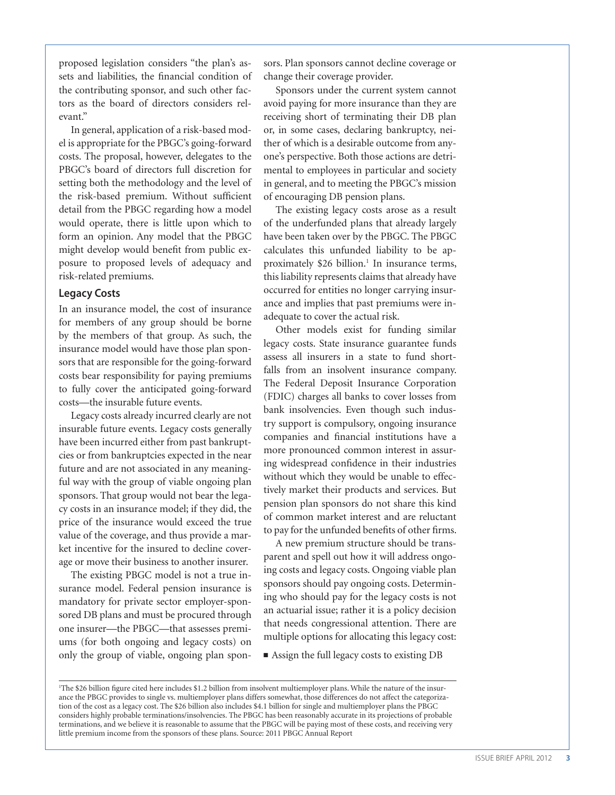proposed legislation considers "the plan's assets and liabilities, the financial condition of the contributing sponsor, and such other factors as the board of directors considers relevant."

In general, application of a risk-based model is appropriate for the PBGC's going-forward costs. The proposal, however, delegates to the PBGC's board of directors full discretion for setting both the methodology and the level of the risk-based premium. Without sufficient detail from the PBGC regarding how a model would operate, there is little upon which to form an opinion. Any model that the PBGC might develop would benefit from public exposure to proposed levels of adequacy and risk-related premiums.

#### **Legacy Costs**

In an insurance model, the cost of insurance for members of any group should be borne by the members of that group. As such, the insurance model would have those plan sponsors that are responsible for the going-forward costs bear responsibility for paying premiums to fully cover the anticipated going-forward costs—the insurable future events.

Legacy costs already incurred clearly are not insurable future events. Legacy costs generally have been incurred either from past bankruptcies or from bankruptcies expected in the near future and are not associated in any meaningful way with the group of viable ongoing plan sponsors. That group would not bear the legacy costs in an insurance model; if they did, the price of the insurance would exceed the true value of the coverage, and thus provide a market incentive for the insured to decline coverage or move their business to another insurer.

The existing PBGC model is not a true insurance model. Federal pension insurance is mandatory for private sector employer-sponsored DB plans and must be procured through one insurer—the PBGC—that assesses premiums (for both ongoing and legacy costs) on only the group of viable, ongoing plan sponsors. Plan sponsors cannot decline coverage or change their coverage provider.

Sponsors under the current system cannot avoid paying for more insurance than they are receiving short of terminating their DB plan or, in some cases, declaring bankruptcy, neither of which is a desirable outcome from anyone's perspective. Both those actions are detrimental to employees in particular and society in general, and to meeting the PBGC's mission of encouraging DB pension plans.

The existing legacy costs arose as a result of the underfunded plans that already largely have been taken over by the PBGC. The PBGC calculates this unfunded liability to be approximately \$26 billion.<sup>1</sup> In insurance terms, this liability represents claims that already have occurred for entities no longer carrying insurance and implies that past premiums were inadequate to cover the actual risk.

Other models exist for funding similar legacy costs. State insurance guarantee funds assess all insurers in a state to fund shortfalls from an insolvent insurance company. The Federal Deposit Insurance Corporation (FDIC) charges all banks to cover losses from bank insolvencies. Even though such industry support is compulsory, ongoing insurance companies and financial institutions have a more pronounced common interest in assuring widespread confidence in their industries without which they would be unable to effectively market their products and services. But pension plan sponsors do not share this kind of common market interest and are reluctant to pay for the unfunded benefits of other firms.

A new premium structure should be transparent and spell out how it will address ongoing costs and legacy costs. Ongoing viable plan sponsors should pay ongoing costs. Determining who should pay for the legacy costs is not an actuarial issue; rather it is a policy decision that needs congressional attention. There are multiple options for allocating this legacy cost:

■ Assign the full legacy costs to existing DB

<sup>1</sup> The \$26 billion figure cited here includes \$1.2 billion from insolvent multiemployer plans. While the nature of the insurance the PBGC provides to single vs. multiemployer plans differs somewhat, those differences do not affect the categorization of the cost as a legacy cost. The \$26 billion also includes \$4.1 billion for single and multiemployer plans the PBGC considers highly probable terminations/insolvencies. The PBGC has been reasonably accurate in its projections of probable terminations, and we believe it is reasonable to assume that the PBGC will be paying most of these costs, and receiving very little premium income from the sponsors of these plans. Source: 2011 PBGC Annual Report